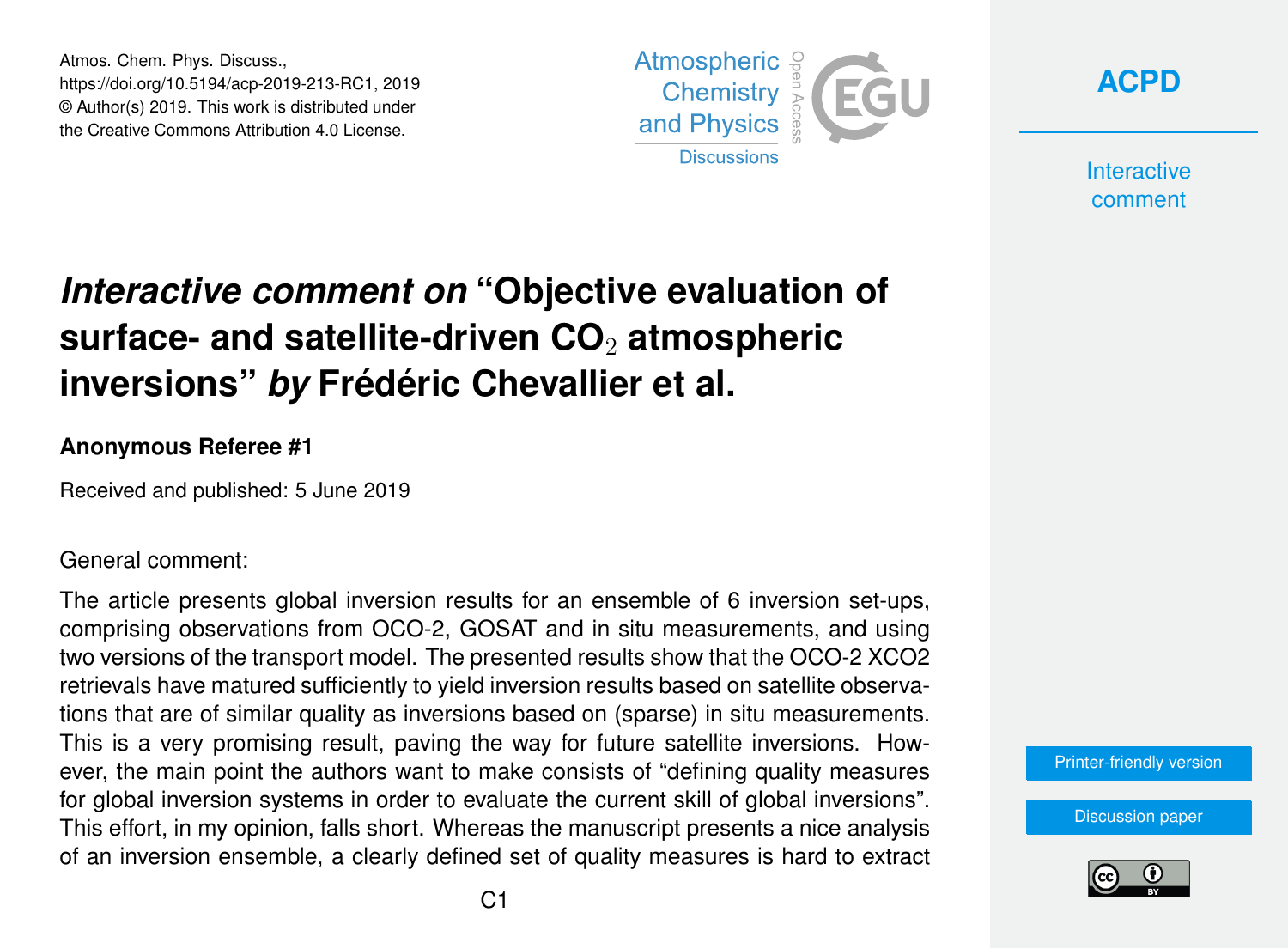Atmos. Chem. Phys. Discuss., https://doi.org/10.5194/acp-2019-213-RC1, 2019 © Author(s) 2019. This work is distributed under the Creative Commons Attribution 4.0 License.





**Interactive** comment

## *Interactive comment on* **"Objective evaluation of surface- and satellite-driven CO**<sup>2</sup> **atmospheric inversions"** *by* **Frédéric Chevallier et al.**

## **Anonymous Referee #1**

Received and published: 5 June 2019

General comment:

The article presents global inversion results for an ensemble of 6 inversion set-ups, comprising observations from OCO-2, GOSAT and in situ measurements, and using two versions of the transport model. The presented results show that the OCO-2 XCO2 retrievals have matured sufficiently to yield inversion results based on satellite observations that are of similar quality as inversions based on (sparse) in situ measurements. This is a very promising result, paving the way for future satellite inversions. However, the main point the authors want to make consists of "defining quality measures for global inversion systems in order to evaluate the current skill of global inversions". This effort, in my opinion, falls short. Whereas the manuscript presents a nice analysis of an inversion ensemble, a clearly defined set of quality measures is hard to extract

[Printer-friendly version](https://www.atmos-chem-phys-discuss.net/acp-2019-213/acp-2019-213-RC1-print.pdf)

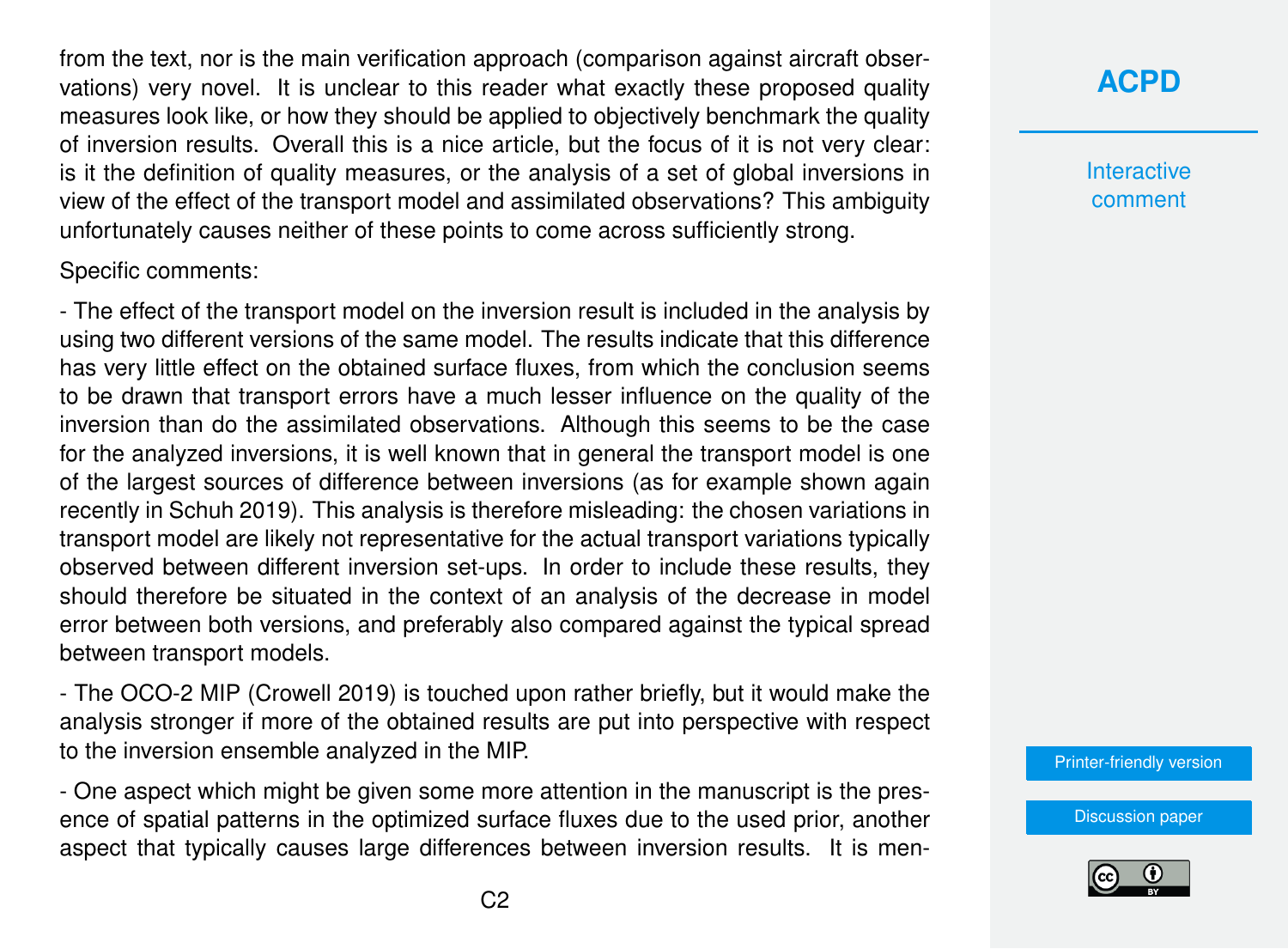from the text, nor is the main verification approach (comparison against aircraft observations) very novel. It is unclear to this reader what exactly these proposed quality measures look like, or how they should be applied to objectively benchmark the quality of inversion results. Overall this is a nice article, but the focus of it is not very clear: is it the definition of quality measures, or the analysis of a set of global inversions in view of the effect of the transport model and assimilated observations? This ambiguity unfortunately causes neither of these points to come across sufficiently strong.

Specific comments:

- The effect of the transport model on the inversion result is included in the analysis by using two different versions of the same model. The results indicate that this difference has very little effect on the obtained surface fluxes, from which the conclusion seems to be drawn that transport errors have a much lesser influence on the quality of the inversion than do the assimilated observations. Although this seems to be the case for the analyzed inversions, it is well known that in general the transport model is one of the largest sources of difference between inversions (as for example shown again recently in Schuh 2019). This analysis is therefore misleading: the chosen variations in transport model are likely not representative for the actual transport variations typically observed between different inversion set-ups. In order to include these results, they should therefore be situated in the context of an analysis of the decrease in model error between both versions, and preferably also compared against the typical spread between transport models.

- The OCO-2 MIP (Crowell 2019) is touched upon rather briefly, but it would make the analysis stronger if more of the obtained results are put into perspective with respect to the inversion ensemble analyzed in the MIP.

- One aspect which might be given some more attention in the manuscript is the presence of spatial patterns in the optimized surface fluxes due to the used prior, another aspect that typically causes large differences between inversion results. It is men**[ACPD](https://www.atmos-chem-phys-discuss.net/)**

**Interactive** comment

[Printer-friendly version](https://www.atmos-chem-phys-discuss.net/acp-2019-213/acp-2019-213-RC1-print.pdf)

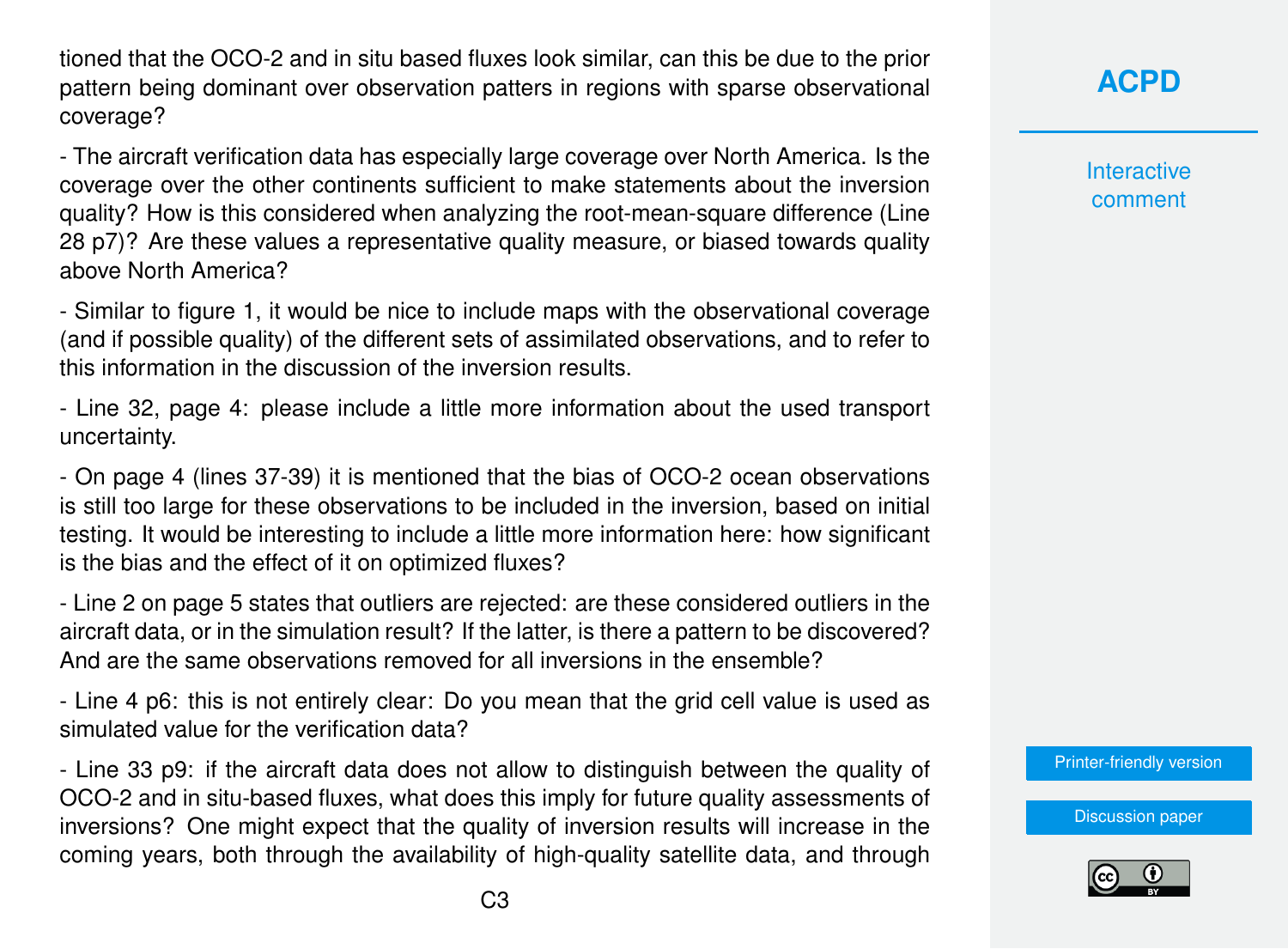tioned that the OCO-2 and in situ based fluxes look similar, can this be due to the prior pattern being dominant over observation patters in regions with sparse observational coverage?

- The aircraft verification data has especially large coverage over North America. Is the coverage over the other continents sufficient to make statements about the inversion quality? How is this considered when analyzing the root-mean-square difference (Line 28 p7)? Are these values a representative quality measure, or biased towards quality above North America?

- Similar to figure 1, it would be nice to include maps with the observational coverage (and if possible quality) of the different sets of assimilated observations, and to refer to this information in the discussion of the inversion results.

- Line 32, page 4: please include a little more information about the used transport uncertainty.

- On page 4 (lines 37-39) it is mentioned that the bias of OCO-2 ocean observations is still too large for these observations to be included in the inversion, based on initial testing. It would be interesting to include a little more information here: how significant is the bias and the effect of it on optimized fluxes?

- Line 2 on page 5 states that outliers are rejected: are these considered outliers in the aircraft data, or in the simulation result? If the latter, is there a pattern to be discovered? And are the same observations removed for all inversions in the ensemble?

- Line 4 p6: this is not entirely clear: Do you mean that the grid cell value is used as simulated value for the verification data?

- Line 33 p9: if the aircraft data does not allow to distinguish between the quality of OCO-2 and in situ-based fluxes, what does this imply for future quality assessments of inversions? One might expect that the quality of inversion results will increase in the coming years, both through the availability of high-quality satellite data, and through **[ACPD](https://www.atmos-chem-phys-discuss.net/)**

**Interactive** comment

[Printer-friendly version](https://www.atmos-chem-phys-discuss.net/acp-2019-213/acp-2019-213-RC1-print.pdf)